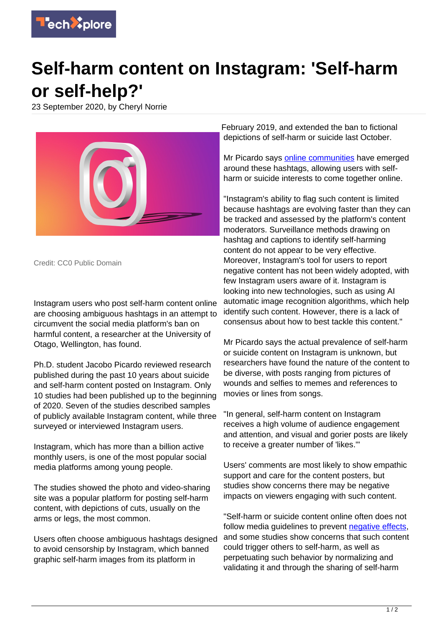

## **Self-harm content on Instagram: 'Self-harm or self-help?'**

23 September 2020, by Cheryl Norrie



Credit: CC0 Public Domain

Instagram users who post self-harm content online are choosing ambiguous hashtags in an attempt to circumvent the social media platform's ban on harmful content, a researcher at the University of Otago, Wellington, has found.

Ph.D. student Jacobo Picardo reviewed research published during the past 10 years about suicide and self-harm content posted on Instagram. Only 10 studies had been published up to the beginning of 2020. Seven of the studies described samples of publicly available Instagram content, while three surveyed or interviewed Instagram users.

Instagram, which has more than a billion active monthly users, is one of the most popular social media platforms among young people.

The studies showed the photo and video-sharing site was a popular platform for posting self-harm content, with depictions of cuts, usually on the arms or legs, the most common.

Users often choose ambiguous hashtags designed to avoid censorship by Instagram, which banned graphic self-harm images from its platform in

February 2019, and extended the ban to fictional depictions of self-harm or suicide last October.

Mr Picardo says [online communities](https://techxplore.com/tags/online+communities/) have emerged around these hashtags, allowing users with selfharm or suicide interests to come together online.

"Instagram's ability to flag such content is limited because hashtags are evolving faster than they can be tracked and assessed by the platform's content moderators. Surveillance methods drawing on hashtag and captions to identify self-harming content do not appear to be very effective. Moreover, Instagram's tool for users to report negative content has not been widely adopted, with few Instagram users aware of it. Instagram is looking into new technologies, such as using AI automatic image recognition algorithms, which help identify such content. However, there is a lack of consensus about how to best tackle this content."

Mr Picardo says the actual prevalence of self-harm or suicide content on Instagram is unknown, but researchers have found the nature of the content to be diverse, with posts ranging from pictures of wounds and selfies to memes and references to movies or lines from songs.

"In general, self-harm content on Instagram receives a high volume of audience engagement and attention, and visual and gorier posts are likely to receive a greater number of 'likes.'"

Users' comments are most likely to show empathic support and care for the content posters, but studies show concerns there may be negative impacts on viewers engaging with such content.

"Self-harm or suicide content online often does not follow media guidelines to prevent [negative effects](https://techxplore.com/tags/negative+effects/). and some studies show concerns that such content could trigger others to self-harm, as well as perpetuating such behavior by normalizing and validating it and through the sharing of self-harm